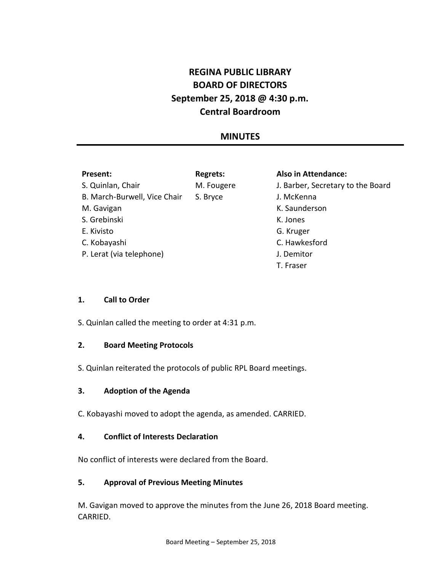# **REGINA PUBLIC LIBRARY BOARD OF DIRECTORS September 25, 2018 @ 4:30 p.m. Central Boardroom**

## **MINUTES**

## **Present:**

**Regrets:**

S. Quinlan, Chair B. March-Burwell, Vice Chair M. Gavigan S. Grebinski E. Kivisto C. Kobayashi P. Lerat (via telephone)

M. Fougere S. Bryce

#### **Also in Attendance:**

J. Barber, Secretary to the Board J. McKenna K. Saunderson K. Jones G. Kruger C. Hawkesford J. Demitor T. Fraser

## **1. Call to Order**

S. Quinlan called the meeting to order at 4:31 p.m.

## **2. Board Meeting Protocols**

S. Quinlan reiterated the protocols of public RPL Board meetings.

## **3. Adoption of the Agenda**

C. Kobayashi moved to adopt the agenda, as amended. CARRIED.

## **4. Conflict of Interests Declaration**

No conflict of interests were declared from the Board.

## **5. Approval of Previous Meeting Minutes**

M. Gavigan moved to approve the minutes from the June 26, 2018 Board meeting. CARRIED.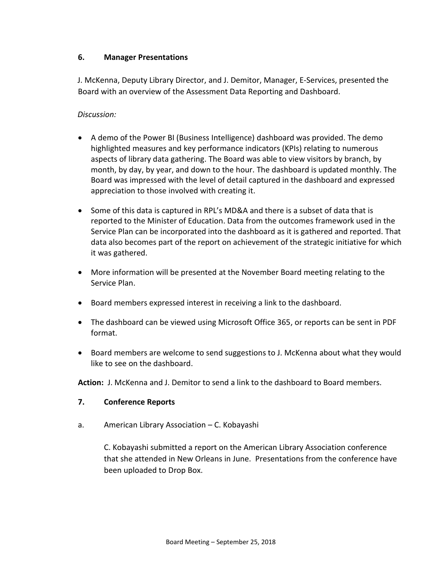## **6. Manager Presentations**

J. McKenna, Deputy Library Director, and J. Demitor, Manager, E-Services, presented the Board with an overview of the Assessment Data Reporting and Dashboard.

## *Discussion:*

- A demo of the Power BI (Business Intelligence) dashboard was provided. The demo highlighted measures and key performance indicators (KPIs) relating to numerous aspects of library data gathering. The Board was able to view visitors by branch, by month, by day, by year, and down to the hour. The dashboard is updated monthly. The Board was impressed with the level of detail captured in the dashboard and expressed appreciation to those involved with creating it.
- Some of this data is captured in RPL's MD&A and there is a subset of data that is reported to the Minister of Education. Data from the outcomes framework used in the Service Plan can be incorporated into the dashboard as it is gathered and reported. That data also becomes part of the report on achievement of the strategic initiative for which it was gathered.
- More information will be presented at the November Board meeting relating to the Service Plan.
- Board members expressed interest in receiving a link to the dashboard.
- The dashboard can be viewed using Microsoft Office 365, or reports can be sent in PDF format.
- Board members are welcome to send suggestions to J. McKenna about what they would like to see on the dashboard.

**Action:** J. McKenna and J. Demitor to send a link to the dashboard to Board members.

## **7. Conference Reports**

a. American Library Association – C. Kobayashi

C. Kobayashi submitted a report on the American Library Association conference that she attended in New Orleans in June. Presentations from the conference have been uploaded to Drop Box.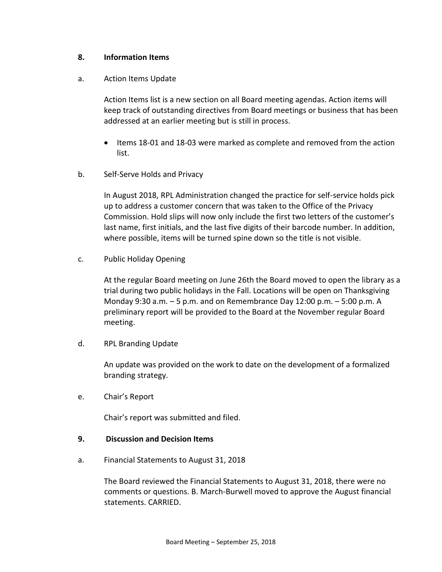## **8. Information Items**

#### a. Action Items Update

Action Items list is a new section on all Board meeting agendas. Action items will keep track of outstanding directives from Board meetings or business that has been addressed at an earlier meeting but is still in process.

- Items 18-01 and 18-03 were marked as complete and removed from the action list.
- b. Self-Serve Holds and Privacy

In August 2018, RPL Administration changed the practice for self-service holds pick up to address a customer concern that was taken to the Office of the Privacy Commission. Hold slips will now only include the first two letters of the customer's last name, first initials, and the last five digits of their barcode number. In addition, where possible, items will be turned spine down so the title is not visible.

c. Public Holiday Opening

At the regular Board meeting on June 26th the Board moved to open the library as a trial during two public holidays in the Fall. Locations will be open on Thanksgiving Monday 9:30 a.m. – 5 p.m. and on Remembrance Day 12:00 p.m. – 5:00 p.m. A preliminary report will be provided to the Board at the November regular Board meeting.

d. RPL Branding Update

An update was provided on the work to date on the development of a formalized branding strategy.

e. Chair's Report

Chair's report was submitted and filed.

#### **9. Discussion and Decision Items**

a. Financial Statements to August 31, 2018

The Board reviewed the Financial Statements to August 31, 2018, there were no comments or questions. B. March-Burwell moved to approve the August financial statements. CARRIED.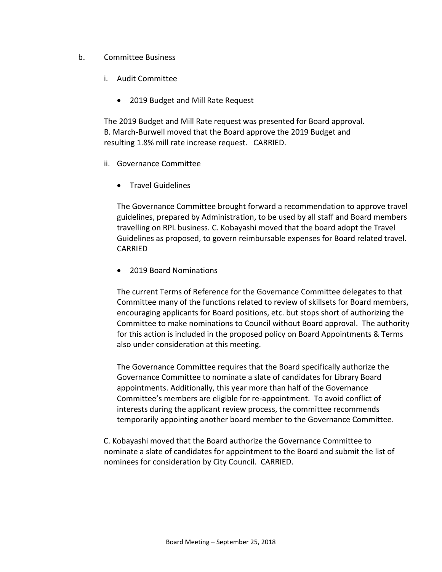## b. Committee Business

- i. Audit Committee
	- 2019 Budget and Mill Rate Request

The 2019 Budget and Mill Rate request was presented for Board approval. B. March-Burwell moved that the Board approve the 2019 Budget and resulting 1.8% mill rate increase request. CARRIED.

- ii. Governance Committee
	- Travel Guidelines

The Governance Committee brought forward a recommendation to approve travel guidelines, prepared by Administration, to be used by all staff and Board members travelling on RPL business. C. Kobayashi moved that the board adopt the Travel Guidelines as proposed, to govern reimbursable expenses for Board related travel. CARRIED

• 2019 Board Nominations

The current Terms of Reference for the Governance Committee delegates to that Committee many of the functions related to review of skillsets for Board members, encouraging applicants for Board positions, etc. but stops short of authorizing the Committee to make nominations to Council without Board approval. The authority for this action is included in the proposed policy on Board Appointments & Terms also under consideration at this meeting.

The Governance Committee requires that the Board specifically authorize the Governance Committee to nominate a slate of candidates for Library Board appointments. Additionally, this year more than half of the Governance Committee's members are eligible for re-appointment. To avoid conflict of interests during the applicant review process, the committee recommends temporarily appointing another board member to the Governance Committee.

C. Kobayashi moved that the Board authorize the Governance Committee to nominate a slate of candidates for appointment to the Board and submit the list of nominees for consideration by City Council. CARRIED.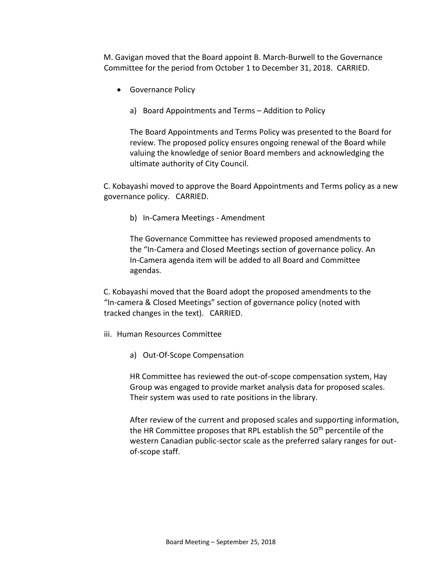M. Gavigan moved that the Board appoint B. March-Burwell to the Governance Committee for the period from October 1 to December 31, 2018. CARRIED.

- Governance Policy
	- a) Board Appointments and Terms Addition to Policy

The Board Appointments and Terms Policy was presented to the Board for review. The proposed policy ensures ongoing renewal of the Board while valuing the knowledge of senior Board members and acknowledging the ultimate authority of City Council.

C. Kobayashi moved to approve the Board Appointments and Terms policy as a new governance policy. CARRIED.

b) In-Camera Meetings - Amendment

The Governance Committee has reviewed proposed amendments to the "In-Camera and Closed Meetings section of governance policy. An In-Camera agenda item will be added to all Board and Committee agendas.

C. Kobayashi moved that the Board adopt the proposed amendments to the "In-camera & Closed Meetings" section of governance policy (noted with tracked changes in the text). CARRIED.

- iii. Human Resources Committee
	- a) Out-Of-Scope Compensation

HR Committee has reviewed the out-of-scope compensation system, Hay Group was engaged to provide market analysis data for proposed scales. Their system was used to rate positions in the library.

After review of the current and proposed scales and supporting information, the HR Committee proposes that RPL establish the 50<sup>th</sup> percentile of the western Canadian public-sector scale as the preferred salary ranges for outof-scope staff.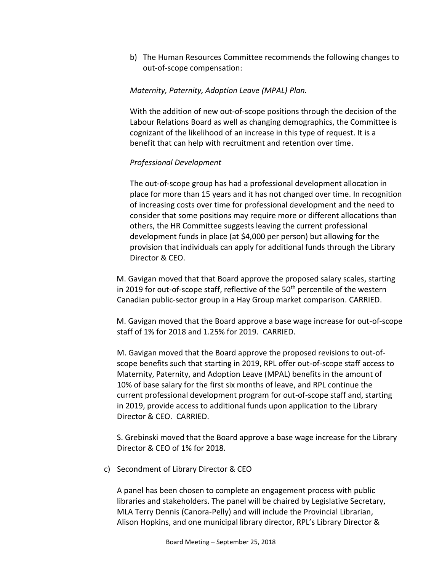b) The Human Resources Committee recommends the following changes to out-of-scope compensation:

## *Maternity, Paternity, Adoption Leave (MPAL) Plan.*

With the addition of new out-of-scope positions through the decision of the Labour Relations Board as well as changing demographics, the Committee is cognizant of the likelihood of an increase in this type of request. It is a benefit that can help with recruitment and retention over time.

## *Professional Development*

The out-of-scope group has had a professional development allocation in place for more than 15 years and it has not changed over time. In recognition of increasing costs over time for professional development and the need to consider that some positions may require more or different allocations than others, the HR Committee suggests leaving the current professional development funds in place (at \$4,000 per person) but allowing for the provision that individuals can apply for additional funds through the Library Director & CEO.

M. Gavigan moved that that Board approve the proposed salary scales, starting in 2019 for out-of-scope staff, reflective of the  $50<sup>th</sup>$  percentile of the western Canadian public-sector group in a Hay Group market comparison. CARRIED.

M. Gavigan moved that the Board approve a base wage increase for out-of-scope staff of 1% for 2018 and 1.25% for 2019. CARRIED.

M. Gavigan moved that the Board approve the proposed revisions to out-ofscope benefits such that starting in 2019, RPL offer out-of-scope staff access to Maternity, Paternity, and Adoption Leave (MPAL) benefits in the amount of 10% of base salary for the first six months of leave, and RPL continue the current professional development program for out-of-scope staff and, starting in 2019, provide access to additional funds upon application to the Library Director & CEO. CARRIED.

S. Grebinski moved that the Board approve a base wage increase for the Library Director & CEO of 1% for 2018.

c) Secondment of Library Director & CEO

A panel has been chosen to complete an engagement process with public libraries and stakeholders. The panel will be chaired by Legislative Secretary, MLA Terry Dennis (Canora-Pelly) and will include the Provincial Librarian, Alison Hopkins, and one municipal library director, RPL's Library Director &